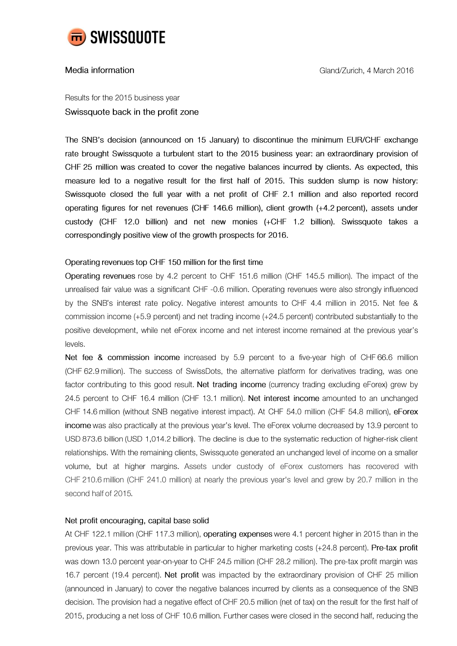

# Media information

Results for the 2015 business year Swissquote back in the profit zone

The SNB's decision (announced on 15 January) to discontinue the minimum EUR/CHF exchange rate brought Swissquote a turbulent start to the 2015 business year: an extraordinary provision of CHF 25 million was created to cover the negative balances incurred by clients. As expected, this measure led to a negative result for the first half of 2015. This sudden slump is now history: Swissquote closed the full year with a net profit of CHF 2.1 million and also reported record operating figures for net revenues (CHF 146.6 million), client growth (+4.2 percent), assets under custody (CHF 12.0 billion) and net new monies (+CHF 1.2 billion). Swissquote takes a correspondingly positive view of the growth prospects for 2016.

## Operating revenues top CHF 150 million for the first time

Operating revenues rose by 4.2 percent to CHF 151.6 million (CHF 145.5 million). The impact of the unrealised fair value was a significant CHF -0.6 million. Operating revenues were also strongly influenced by the SNB's interest rate policy. Negative interest amounts to CHF 4.4 million in 2015. Net fee & commission income (+5.9 percent) and net trading income (+24.5 percent) contributed substantially to the positive development, while net eForex income and net interest income remained at the previous year's levels.

Net fee & commission income increased by 5.9 percent to a five-year high of CHF 66.6 million (CHF 62.9 million). The success of SwissDots, the alternative platform for derivatives trading, was one factor contributing to this good result. Net trading income (currency trading excluding eForex) grew by 24.5 percent to CHF 16.4 million (CHF 13.1 million). Net interest income amounted to an unchanged CHF 14.6 million (without SNB negative interest impact). At CHF 54.0 million (CHF 54.8 million), eForex income was also practically at the previous year's level. The eForex volume decreased by 13.9 percent to USD 873.6 billion (USD 1,014.2 billion). The decline is due to the systematic reduction of higher-risk client relationships. With the remaining clients, Swissquote generated an unchanged level of income on a smaller volume, but at higher margins. Assets under custody of eForex customers has recovered with CHF 210.6 million (CHF 241.0 million) at nearly the previous year's level and grew by 20.7 million in the second half of 2015.

### Net profit encouraging, capital base solid

At CHF 122.1 million (CHF 117.3 million), operating expenses were 4.1 percent higher in 2015 than in the previous year. This was attributable in particular to higher marketing costs (+24.8 percent). Pre-tax profit was down 13.0 percent year-on-year to CHF 24.5 million (CHF 28.2 million). The pre-tax profit margin was 16.7 percent (19.4 percent). Net profit was impacted by the extraordinary provision of CHF 25 million (announced in January) to cover the negative balances incurred by clients as a consequence of the SNB decision. The provision had a negative effect of CHF 20.5 million (net of tax) on the result for the first half of 2015, producing a net loss of CHF 10.6 million. Further cases were closed in the second half, reducing the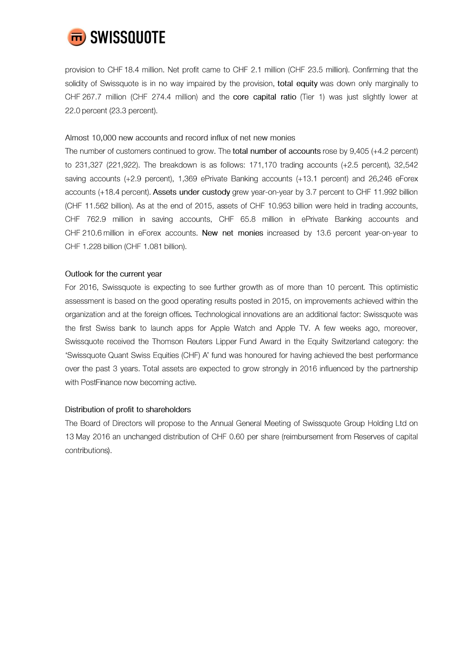

provision to CHF 18.4 million. Net profit came to CHF 2.1 million (CHF 23.5 million). Confirming that the solidity of Swissquote is in no way impaired by the provision, total equity was down only marginally to CHF 267.7 million (CHF 274.4 million) and the core capital ratio (Tier 1) was just slightly lower at 22.0 percent (23.3 percent).

### Almost 10,000 new accounts and record influx of net new monies

The number of customers continued to grow. The total number of accounts rose by 9,405 (+4.2 percent) to 231,327 (221,922). The breakdown is as follows: 171,170 trading accounts  $(+2.5$  percent), 32,542 saving accounts (+2.9 percent), 1,369 ePrivate Banking accounts (+13.1 percent) and 26,246 eForex accounts (+18.4 percent). Assets under custody grew year-on-year by 3.7 percent to CHF 11.992 billion (CHF 11.562 billion). As at the end of 2015, assets of CHF 10.953 billion were held in trading accounts, CHF 762.9 million in saving accounts, CHF 65.8 million in ePrivate Banking accounts and CHF 210.6 million in eForex accounts. New net monies increased by 13.6 percent year-on-year to CHF 1.228 billion (CHF 1.081 billion).

## Outlook for the current year

For 2016, Swissquote is expecting to see further growth as of more than 10 percent. This optimistic assessment is based on the good operating results posted in 2015, on improvements achieved within the organization and at the foreign offices. Technological innovations are an additional factor: Swissquote was the first Swiss bank to launch apps for Apple Watch and Apple TV. A few weeks ago, moreover, Swissquote received the Thomson Reuters Lipper Fund Award in the Equity Switzerland category: the 'Swissquote Quant Swiss Equities (CHF) A' fund was honoured for having achieved the best performance over the past 3 years. Total assets are expected to grow strongly in 2016 influenced by the partnership with PostFinance now becoming active.

### Distribution of profit to shareholders

The Board of Directors will propose to the Annual General Meeting of Swissquote Group Holding Ltd on 13 May 2016 an unchanged distribution of CHF 0.60 per share (reimbursement from Reserves of capital contributions).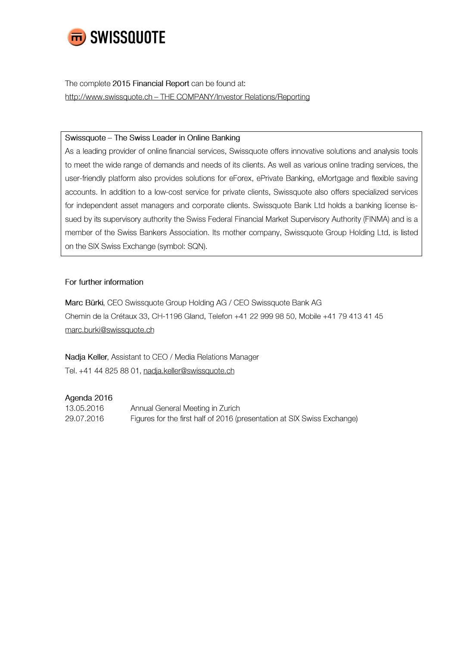

The complete 2015 Financial Report can be found at: http://www.swissquote.ch - THE COMPANY/Investor Relations/Reporting

### Swissquote - The Swiss Leader in Online Banking

As a leading provider of online financial services, Swissquote offers innovative solutions and analysis tools to meet the wide range of demands and needs of its clients. As well as various online trading services, the user-friendly platform also provides solutions for eForex, ePrivate Banking, eMortgage and flexible saving accounts. In addition to a low-cost service for private clients, Swissquote also offers specialized services for independent asset managers and corporate clients. Swissquote Bank Ltd holds a banking license issued by its supervisory authority the Swiss Federal Financial Market Supervisory Authority (FINMA) and is a member of the Swiss Bankers Association. Its mother company, Swissquote Group Holding Ltd, is listed on the SIX Swiss Exchange (symbol: SQN).

## For further information

Marc Bürki, CEO Swissquote Group Holding AG / CEO Swissquote Bank AG Chemin de la Crétaux 33, CH-1196 Gland, Telefon +41 22 999 98 50, Mobile +41 79 413 41 45 marc.burki@swissquote.ch

Nadja Keller, Assistant to CEO / Media Relations Manager Tel. +41 44 825 88 01, nadja.keller@swissquote.ch

### Agenda 2016

| 13.05.2016 | Annual General Meeting in Zurich                                        |
|------------|-------------------------------------------------------------------------|
| 29.07.2016 | Figures for the first half of 2016 (presentation at SIX Swiss Exchange) |